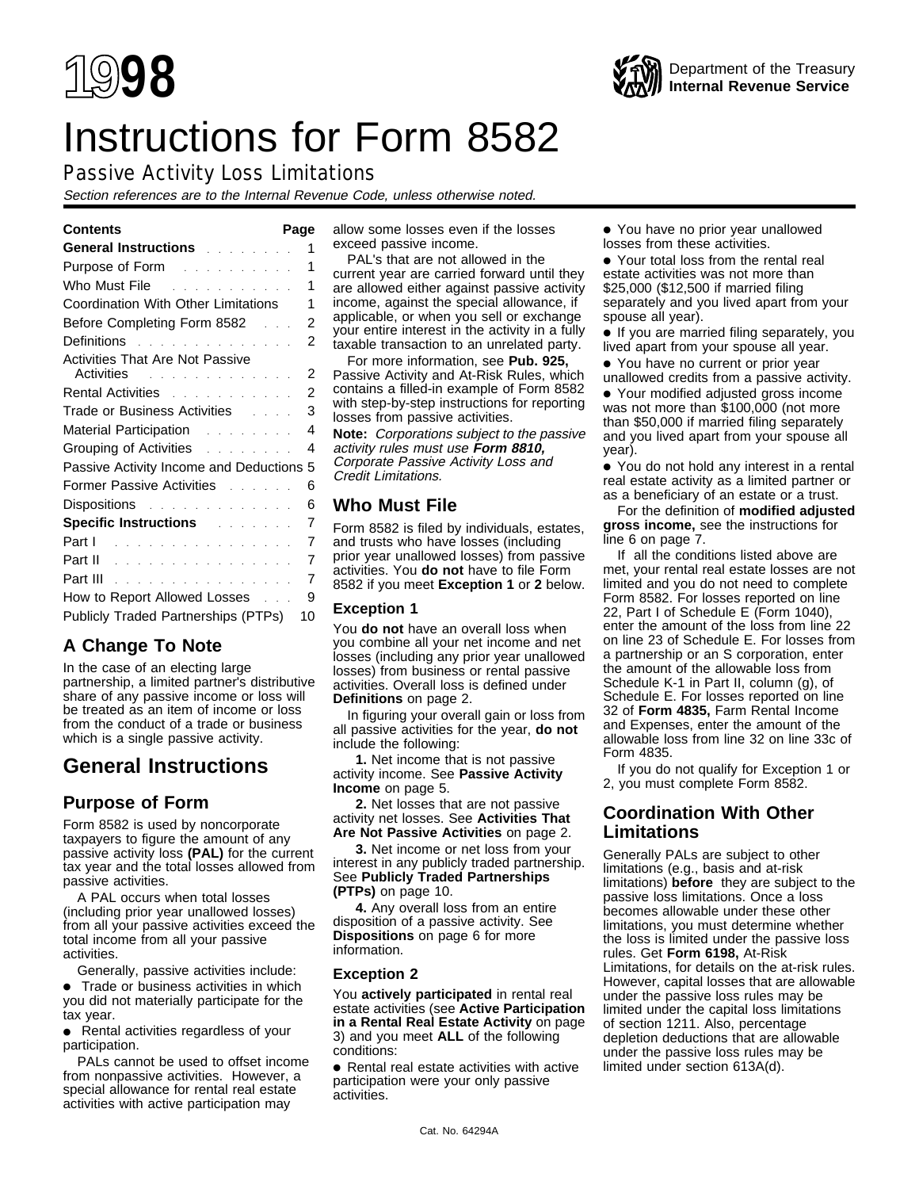# Instructions for Form 8582

# Passive Activity Loss Limitations

Section references are to the Internal Revenue Code, unless otherwise noted.

| General Instructions and a series of                                                                                     | 1              |
|--------------------------------------------------------------------------------------------------------------------------|----------------|
| Purpose of Form <b>Provide Act Act Act Provide</b>                                                                       | 1              |
| Who Must File <b>Container Container</b> Tennes and Tennes and Tennes and Tennes and Tennes and Tennes and Tennes and Te | 1              |
| Coordination With Other Limitations                                                                                      | 1              |
| Before Completing Form 8582<br>.                                                                                         | $\overline{2}$ |
| Definitions research and the set of the Definitions                                                                      | 2              |
| <b>Activities That Are Not Passive</b><br>Activities and a contract the contract of the Activities                       | 2              |
| Rental Activities <b>Rental Activities</b>                                                                               | 2              |
| Trade or Business Activities Fig. 1. 1. 1.                                                                               | 3              |
|                                                                                                                          | 4              |
| Grouping of Activities <b>Activities</b>                                                                                 | 4              |
| Passive Activity Income and Deductions                                                                                   | 5              |
| Former Passive Activities [11] Louis Louis                                                                               | 6              |
| Dispositions and a series are a series of                                                                                | 6              |
| <b>Specific Instructions Allen Burger</b>                                                                                | 7              |
| Part 1                                                                                                                   | 7              |
|                                                                                                                          | 7              |
| Part III                                                                                                                 | 7              |
| How to Report Allowed Losses                                                                                             | 9              |
| Publicly Traded Partnerships (PTPs)                                                                                      | 10             |
|                                                                                                                          |                |

# **A Change To Note**

In the case of an electing large partnership, a limited partner's distributive share of any passive income or loss will be treated as an item of income or loss from the conduct of a trade or business which is a single passive activity.

# **General Instructions**

# **Purpose of Form**

Form 8582 is used by noncorporate taxpayers to figure the amount of any passive activity loss **(PAL)** for the current tax year and the total losses allowed from passive activities.

A PAL occurs when total losses (including prior year unallowed losses) from all your passive activities exceed the total income from all your passive activities.

Generally, passive activities include: ● Trade or business activities in which you did not materially participate for the tax year.

● Rental activities regardless of your participation.

PALs cannot be used to offset income from nonpassive activities. However, a special allowance for rental real estate activities with active participation may

**Contents Page** allow some losses even if the losses exceed passive income.

PAL's that are not allowed in the current year are carried forward until they are allowed either against passive activity income, against the special allowance, if applicable, or when you sell or exchange your entire interest in the activity in a fully taxable transaction to an unrelated party.

For more information, see **Pub. 925,** Passive Activity and At-Risk Rules, which contains a filled-in example of Form 8582 with step-by-step instructions for reporting losses from passive activities.

**Note:** Corporations subject to the passive activity rules must use **Form 8810,** Corporate Passive Activity Loss and Credit Limitations.

# **Who Must File**

Form 8582 is filed by individuals, estates, and trusts who have losses (including prior year unallowed losses) from passive activities. You **do not** have to file Form 8582 if you meet **Exception 1** or **2** below.

# **Exception 1**

You **do not** have an overall loss when you combine all your net income and net losses (including any prior year unallowed losses) from business or rental passive activities. Overall loss is defined under **Definitions** on page 2.

In figuring your overall gain or loss from all passive activities for the year, **do not** include the following:

**1.** Net income that is not passive activity income. See **Passive Activity Income** on page 5.

**2.** Net losses that are not passive activity net losses. See **Activities That Are Not Passive Activities** on page 2.

**3.** Net income or net loss from your interest in any publicly traded partnership. See **Publicly Traded Partnerships (PTPs)** on page 10.

**4.** Any overall loss from an entire disposition of a passive activity. See **Dispositions** on page 6 for more information.

# **Exception 2**

You **actively participated** in rental real estate activities (see **Active Participation in a Rental Real Estate Activity** on page 3) and you meet **ALL** of the following conditions:

● Rental real estate activities with active participation were your only passive activities.

● You have no prior year unallowed losses from these activities.

● Your total loss from the rental real estate activities was not more than \$25,000 (\$12,500 if married filing separately and you lived apart from your spouse all year).

● If you are married filing separately, you lived apart from your spouse all year.

● You have no current or prior year unallowed credits from a passive activity.

● Your modified adjusted gross income was not more than \$100,000 (not more than \$50,000 if married filing separately and you lived apart from your spouse all year).

● You do not hold any interest in a rental real estate activity as a limited partner or as a beneficiary of an estate or a trust.

For the definition of **modified adjusted gross income,** see the instructions for line 6 on page 7.

If all the conditions listed above are met, your rental real estate losses are not limited and you do not need to complete Form 8582. For losses reported on line 22, Part I of Schedule E (Form 1040), enter the amount of the loss from line 22 on line 23 of Schedule E. For losses from a partnership or an S corporation, enter the amount of the allowable loss from Schedule K-1 in Part II, column (g), of Schedule E. For losses reported on line 32 of **Form 4835,** Farm Rental Income and Expenses, enter the amount of the allowable loss from line 32 on line 33c of Form 4835.

If you do not qualify for Exception 1 or 2, you must complete Form 8582.

# **Coordination With Other Limitations**

Generally PALs are subject to other limitations (e.g., basis and at-risk limitations) **before** they are subject to the passive loss limitations. Once a loss becomes allowable under these other limitations, you must determine whether the loss is limited under the passive loss rules. Get **Form 6198,** At-Risk Limitations, for details on the at-risk rules. However, capital losses that are allowable under the passive loss rules may be limited under the capital loss limitations of section 1211. Also, percentage depletion deductions that are allowable under the passive loss rules may be limited under section 613A(d).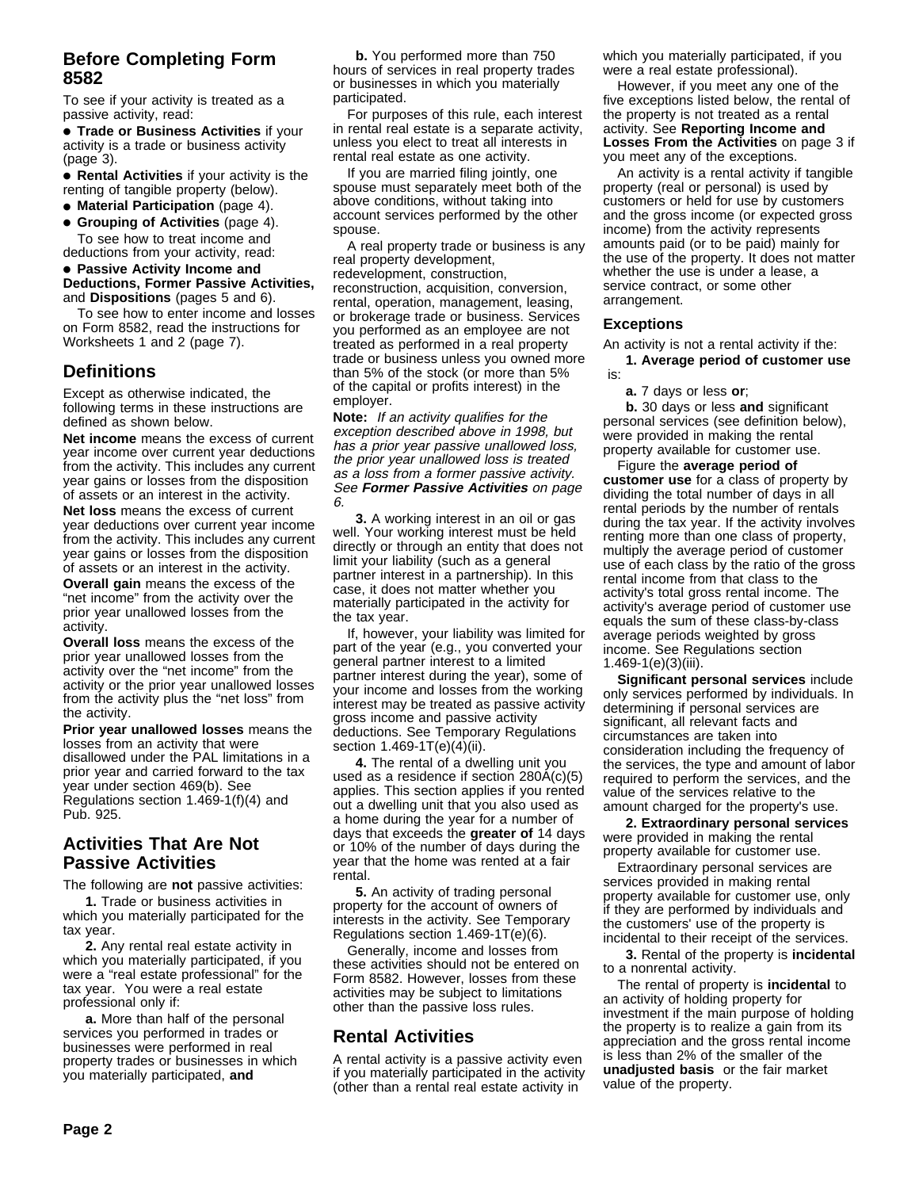# **Before Completing Form 8582**

To see if your activity is treated as a passive activity, read:

● **Trade or Business Activities** if your activity is a trade or business activity (page 3).

● **Rental Activities** if your activity is the renting of tangible property (below).

● **Material Participation** (page 4).

● **Grouping of Activities** (page 4). To see how to treat income and deductions from your activity, read:

#### ● **Passive Activity Income and Deductions, Former Passive Activities,** and **Dispositions** (pages 5 and 6).

To see how to enter income and losses on Form 8582, read the instructions for Worksheets 1 and 2 (page 7).

# **Definitions**

Except as otherwise indicated, the following terms in these instructions are defined as shown below.

**Net income** means the excess of current year income over current year deductions from the activity. This includes any current year gains or losses from the disposition of assets or an interest in the activity.

**Net loss** means the excess of current year deductions over current year income from the activity. This includes any current year gains or losses from the disposition of assets or an interest in the activity.

**Overall gain** means the excess of the "net income" from the activity over the prior year unallowed losses from the activity.

**Overall loss** means the excess of the prior year unallowed losses from the activity over the "net income" from the activity or the prior year unallowed losses from the activity plus the "net loss" from the activity.

**Prior year unallowed losses** means the losses from an activity that were disallowed under the PAL limitations in a prior year and carried forward to the tax year under section 469(b). See Regulations section 1.469-1(f)(4) and Pub. 925.

# **Activities That Are Not Passive Activities**

The following are **not** passive activities:

**1.** Trade or business activities in which you materially participated for the tax year.

**2.** Any rental real estate activity in which you materially participated, if you were a "real estate professional" for the tax year. You were a real estate professional only if:

**a.** More than half of the personal services you performed in trades or businesses were performed in real property trades or businesses in which you materially participated, **and**

**b.** You performed more than 750 hours of services in real property trades or businesses in which you materially participated.

For purposes of this rule, each interest in rental real estate is a separate activity, unless you elect to treat all interests in rental real estate as one activity.

If you are married filing jointly, one spouse must separately meet both of the above conditions, without taking into account services performed by the other spouse.

A real property trade or business is any real property development, redevelopment, construction, reconstruction, acquisition, conversion, rental, operation, management, leasing, or brokerage trade or business. Services you performed as an employee are not treated as performed in a real property trade or business unless you owned more than 5% of the stock (or more than 5% of the capital or profits interest) in the employer.

**Note:** If an activity qualifies for the exception described above in 1998, but has a prior year passive unallowed loss, the prior year unallowed loss is treated as a loss from a former passive activity. See **Former Passive Activities** on page 6.

**3.** A working interest in an oil or gas well. Your working interest must be held directly or through an entity that does not limit your liability (such as a general partner interest in a partnership). In this case, it does not matter whether you materially participated in the activity for the tax year.

If, however, your liability was limited for part of the year (e.g., you converted your general partner interest to a limited partner interest during the year), some of your income and losses from the working interest may be treated as passive activity gross income and passive activity deductions. See Temporary Regulations section 1.469-1T(e)(4)(ii).

**4.** The rental of a dwelling unit you used as a residence if section 280A(c)(5) applies. This section applies if you rented out a dwelling unit that you also used as a home during the year for a number of days that exceeds the **greater of** 14 days or 10% of the number of days during the year that the home was rented at a fair rental.

**5.** An activity of trading personal property for the account of owners of interests in the activity. See Temporary Regulations section 1.469-1T(e)(6).

Generally, income and losses from these activities should not be entered on Form 8582. However, losses from these activities may be subject to limitations other than the passive loss rules.

# **Rental Activities**

A rental activity is a passive activity even if you materially participated in the activity (other than a rental real estate activity in

which you materially participated, if you were a real estate professional).

However, if you meet any one of the five exceptions listed below, the rental of the property is not treated as a rental activity. See **Reporting Income and Losses From the Activities** on page 3 if you meet any of the exceptions.

An activity is a rental activity if tangible property (real or personal) is used by customers or held for use by customers and the gross income (or expected gross income) from the activity represents amounts paid (or to be paid) mainly for the use of the property. It does not matter whether the use is under a lease, a service contract, or some other arrangement.

#### **Exceptions**

An activity is not a rental activity if the:

**1. Average period of customer use** is:

**a.** 7 days or less **or**;

**b.** 30 days or less **and** significant personal services (see definition below), were provided in making the rental property available for customer use.

Figure the **average period of customer use** for a class of property by dividing the total number of days in all rental periods by the number of rentals during the tax year. If the activity involves renting more than one class of property, multiply the average period of customer use of each class by the ratio of the gross rental income from that class to the activity's total gross rental income. The activity's average period of customer use equals the sum of these class-by-class average periods weighted by gross income. See Regulations section 1.469-1(e)(3)(iii).

**Significant personal services** include only services performed by individuals. In determining if personal services are significant, all relevant facts and circumstances are taken into consideration including the frequency of the services, the type and amount of labor required to perform the services, and the value of the services relative to the amount charged for the property's use.

**2. Extraordinary personal services** were provided in making the rental property available for customer use.

Extraordinary personal services are services provided in making rental property available for customer use, only if they are performed by individuals and the customers' use of the property is incidental to their receipt of the services.

**3.** Rental of the property is **incidental** to a nonrental activity.

The rental of property is **incidental** to an activity of holding property for investment if the main purpose of holding the property is to realize a gain from its appreciation and the gross rental income is less than 2% of the smaller of the **unadjusted basis** or the fair market value of the property.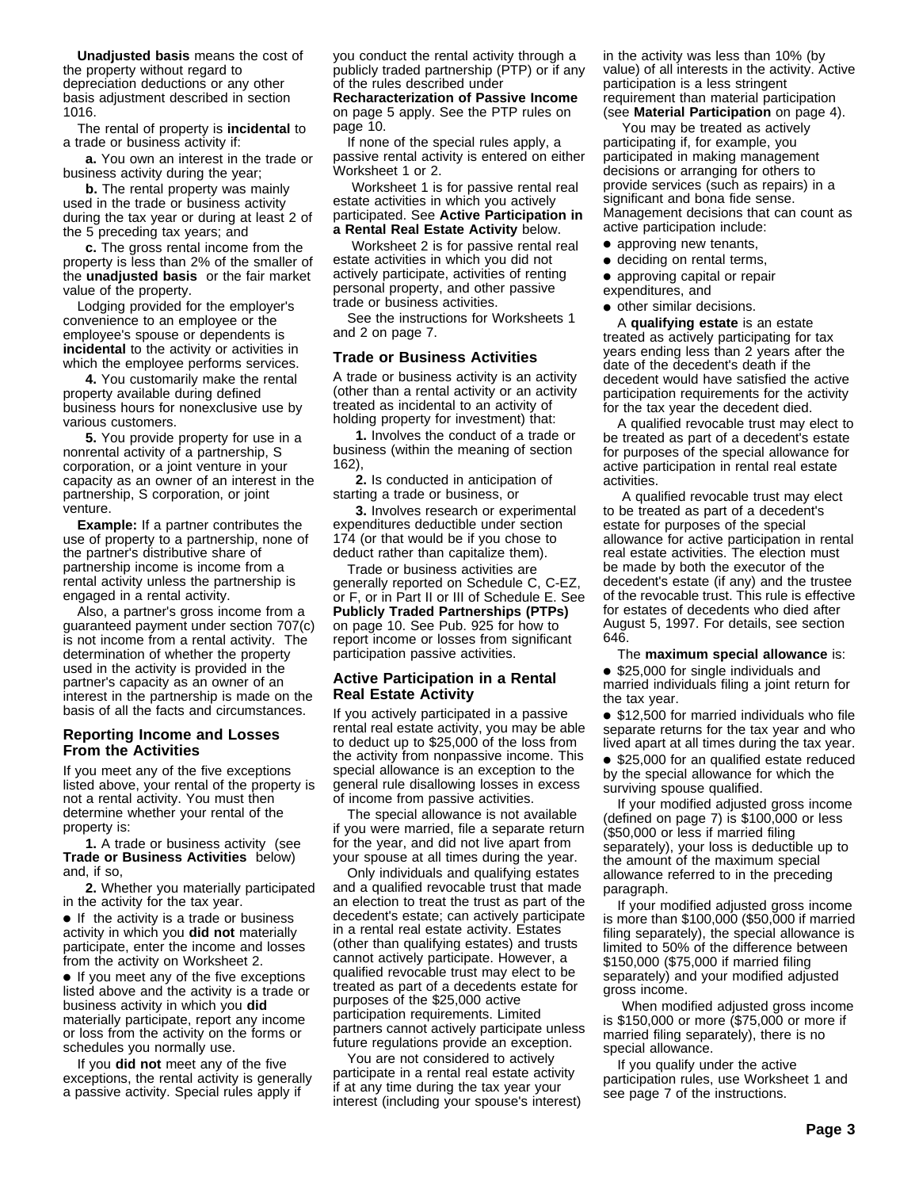**Unadjusted basis** means the cost of the property without regard to depreciation deductions or any other basis adjustment described in section 1016.

The rental of property is **incidental** to a trade or business activity if:

**a.** You own an interest in the trade or business activity during the year;

**b.** The rental property was mainly used in the trade or business activity during the tax year or during at least 2 of the 5 preceding tax years; and

**c.** The gross rental income from the property is less than 2% of the smaller of the **unadjusted basis** or the fair market value of the property.

Lodging provided for the employer's convenience to an employee or the employee's spouse or dependents is **incidental** to the activity or activities in which the employee performs services.

**4.** You customarily make the rental property available during defined business hours for nonexclusive use by various customers.

**5.** You provide property for use in a nonrental activity of a partnership, S corporation, or a joint venture in your capacity as an owner of an interest in the partnership, S corporation, or joint venture.

**Example:** If a partner contributes the use of property to a partnership, none of the partner's distributive share of partnership income is income from a rental activity unless the partnership is engaged in a rental activity.

Also, a partner's gross income from a guaranteed payment under section 707(c) is not income from a rental activity. The determination of whether the property used in the activity is provided in the partner's capacity as an owner of an interest in the partnership is made on the basis of all the facts and circumstances.

#### **Reporting Income and Losses From the Activities**

If you meet any of the five exceptions listed above, your rental of the property is not a rental activity. You must then determine whether your rental of the property is:

**1.** A trade or business activity (see **Trade or Business Activities** below) and, if so,

**2.** Whether you materially participated in the activity for the tax year.

● If the activity is a trade or business activity in which you **did not** materially participate, enter the income and losses from the activity on Worksheet 2.

● If you meet any of the five exceptions listed above and the activity is a trade or business activity in which you **did** materially participate, report any income or loss from the activity on the forms or schedules you normally use.

If you **did not** meet any of the five exceptions, the rental activity is generally a passive activity. Special rules apply if

you conduct the rental activity through a publicly traded partnership (PTP) or if any of the rules described under

**Recharacterization of Passive Income** on page 5 apply. See the PTP rules on page 10.

If none of the special rules apply, a passive rental activity is entered on either Worksheet 1 or 2.

 Worksheet 1 is for passive rental real estate activities in which you actively participated. See **Active Participation in a Rental Real Estate Activity** below.

 Worksheet 2 is for passive rental real estate activities in which you did not actively participate, activities of renting personal property, and other passive trade or business activities.

See the instructions for Worksheets 1 and 2 on page 7.

#### **Trade or Business Activities**

A trade or business activity is an activity (other than a rental activity or an activity treated as incidental to an activity of holding property for investment) that:

**1.** Involves the conduct of a trade or business (within the meaning of section 162),

**2.** Is conducted in anticipation of starting a trade or business, or

**3.** Involves research or experimental expenditures deductible under section 174 (or that would be if you chose to deduct rather than capitalize them).

Trade or business activities are generally reported on Schedule C, C-EZ, or F, or in Part II or III of Schedule E. See **Publicly Traded Partnerships (PTPs)** on page 10. See Pub. 925 for how to report income or losses from significant participation passive activities.

#### **Active Participation in a Rental Real Estate Activity**

If you actively participated in a passive rental real estate activity, you may be able to deduct up to \$25,000 of the loss from the activity from nonpassive income. This special allowance is an exception to the general rule disallowing losses in excess of income from passive activities.

The special allowance is not available if you were married, file a separate return for the year, and did not live apart from your spouse at all times during the year.

Only individuals and qualifying estates and a qualified revocable trust that made an election to treat the trust as part of the decedent's estate; can actively participate in a rental real estate activity. Estates (other than qualifying estates) and trusts cannot actively participate. However, a qualified revocable trust may elect to be treated as part of a decedents estate for purposes of the \$25,000 active participation requirements. Limited partners cannot actively participate unless future regulations provide an exception.

You are not considered to actively participate in a rental real estate activity if at any time during the tax year your interest (including your spouse's interest)

in the activity was less than 10% (by value) of all interests in the activity. Active participation is a less stringent requirement than material participation (see **Material Participation** on page 4).

 You may be treated as actively participating if, for example, you participated in making management decisions or arranging for others to provide services (such as repairs) in a significant and bona fide sense. Management decisions that can count as active participation include:

- approving new tenants,
- deciding on rental terms,
- approving capital or repair
- expenditures, and
- other similar decisions.

A **qualifying estate** is an estate treated as actively participating for tax years ending less than 2 years after the date of the decedent's death if the decedent would have satisfied the active participation requirements for the activity for the tax year the decedent died.

A qualified revocable trust may elect to be treated as part of a decedent's estate for purposes of the special allowance for active participation in rental real estate activities.

 A qualified revocable trust may elect to be treated as part of a decedent's estate for purposes of the special allowance for active participation in rental real estate activities. The election must be made by both the executor of the decedent's estate (if any) and the trustee of the revocable trust. This rule is effective for estates of decedents who died after August 5, 1997. For details, see section 646.

The **maximum special allowance** is:

● \$25,000 for single individuals and married individuals filing a joint return for the tax year.

● \$12,500 for married individuals who file separate returns for the tax year and who lived apart at all times during the tax year.

● \$25,000 for an qualified estate reduced by the special allowance for which the surviving spouse qualified.

If your modified adjusted gross income (defined on page 7) is \$100,000 or less (\$50,000 or less if married filing separately), your loss is deductible up to the amount of the maximum special allowance referred to in the preceding paragraph.

If your modified adjusted gross income is more than \$100,000 (\$50,000 if married filing separately), the special allowance is limited to 50% of the difference between \$150,000 (\$75,000 if married filing separately) and your modified adjusted gross income.

 When modified adjusted gross income is \$150,000 or more (\$75,000 or more if married filing separately), there is no special allowance.

If you qualify under the active participation rules, use Worksheet 1 and see page 7 of the instructions.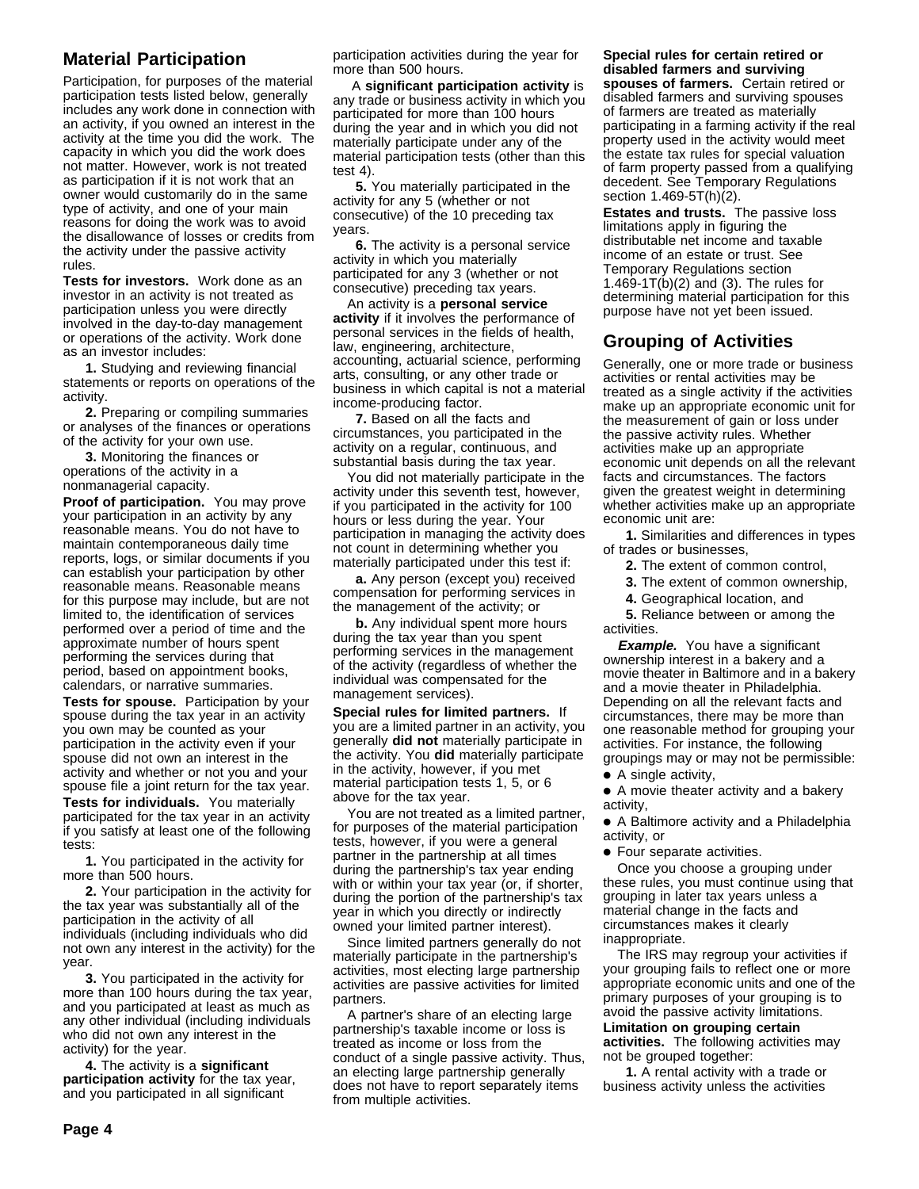# **Material Participation**

Participation, for purposes of the material participation tests listed below, generally includes any work done in connection with an activity, if you owned an interest in the activity at the time you did the work. The capacity in which you did the work does not matter. However, work is not treated as participation if it is not work that an owner would customarily do in the same type of activity, and one of your main reasons for doing the work was to avoid the disallowance of losses or credits from the activity under the passive activity rules.

**Tests for investors.** Work done as an investor in an activity is not treated as participation unless you were directly involved in the day-to-day management or operations of the activity. Work done as an investor includes:

**1.** Studying and reviewing financial statements or reports on operations of the activity.

**2.** Preparing or compiling summaries or analyses of the finances or operations of the activity for your own use.

**3.** Monitoring the finances or operations of the activity in a nonmanagerial capacity.

**Proof of participation.** You may prove your participation in an activity by any reasonable means. You do not have to maintain contemporaneous daily time reports, logs, or similar documents if you can establish your participation by other reasonable means. Reasonable means for this purpose may include, but are not limited to, the identification of services performed over a period of time and the approximate number of hours spent performing the services during that period, based on appointment books, calendars, or narrative summaries.

**Tests for spouse.** Participation by your spouse during the tax year in an activity you own may be counted as your participation in the activity even if your spouse did not own an interest in the activity and whether or not you and your spouse file a joint return for the tax year.

**Tests for individuals.** You materially participated for the tax year in an activity if you satisfy at least one of the following tests:

**1.** You participated in the activity for more than 500 hours.

**2.** Your participation in the activity for the tax year was substantially all of the participation in the activity of all individuals (including individuals who did not own any interest in the activity) for the year.

**3.** You participated in the activity for more than 100 hours during the tax year, and you participated at least as much as any other individual (including individuals who did not own any interest in the activity) for the year.

**4.** The activity is a **significant participation activity** for the tax year, and you participated in all significant

participation activities during the year for more than 500 hours.

 A **significant participation activity** is any trade or business activity in which you participated for more than 100 hours during the year and in which you did not materially participate under any of the material participation tests (other than this test 4).

**5.** You materially participated in the activity for any 5 (whether or not consecutive) of the 10 preceding tax years.

**6.** The activity is a personal service activity in which you materially participated for any 3 (whether or not consecutive) preceding tax years.

An activity is a **personal service activity** if it involves the performance of personal services in the fields of health, law, engineering, architecture, accounting, actuarial science, performing arts, consulting, or any other trade or business in which capital is not a material income-producing factor.

**7.** Based on all the facts and circumstances, you participated in the activity on a regular, continuous, and substantial basis during the tax year.

You did not materially participate in the activity under this seventh test, however, if you participated in the activity for 100 hours or less during the year. Your participation in managing the activity does not count in determining whether you materially participated under this test if:

**a.** Any person (except you) received compensation for performing services in the management of the activity; or

**b.** Any individual spent more hours during the tax year than you spent performing services in the management of the activity (regardless of whether the individual was compensated for the management services).

**Special rules for limited partners.** If you are a limited partner in an activity, you generally **did not** materially participate in the activity. You **did** materially participate in the activity, however, if you met material participation tests 1, 5, or 6 above for the tax year.

You are not treated as a limited partner, for purposes of the material participation tests, however, if you were a general partner in the partnership at all times during the partnership's tax year ending with or within your tax year (or, if shorter, during the portion of the partnership's tax year in which you directly or indirectly owned your limited partner interest).

Since limited partners generally do not materially participate in the partnership's activities, most electing large partnership activities are passive activities for limited partners.

A partner's share of an electing large partnership's taxable income or loss is treated as income or loss from the conduct of a single passive activity. Thus, an electing large partnership generally does not have to report separately items from multiple activities.

# **Special rules for certain retired or disabled farmers and surviving**

**spouses of farmers.** Certain retired or disabled farmers and surviving spouses of farmers are treated as materially participating in a farming activity if the real property used in the activity would meet the estate tax rules for special valuation of farm property passed from a qualifying decedent. See Temporary Regulations section 1.469-5T(h)(2).

**Estates and trusts.** The passive loss limitations apply in figuring the distributable net income and taxable income of an estate or trust. See Temporary Regulations section 1.469-1T(b)(2) and (3). The rules for determining material participation for this purpose have not yet been issued.

# **Grouping of Activities**

Generally, one or more trade or business activities or rental activities may be treated as a single activity if the activities make up an appropriate economic unit for the measurement of gain or loss under the passive activity rules. Whether activities make up an appropriate economic unit depends on all the relevant facts and circumstances. The factors given the greatest weight in determining whether activities make up an appropriate economic unit are:

**1.** Similarities and differences in types of trades or businesses,

- **2.** The extent of common control,
- **3.** The extent of common ownership,
- **4.** Geographical location, and

**5.** Reliance between or among the activities.

**Example.** You have a significant ownership interest in a bakery and a movie theater in Baltimore and in a bakery and a movie theater in Philadelphia. Depending on all the relevant facts and circumstances, there may be more than one reasonable method for grouping your activities. For instance, the following groupings may or may not be permissible:

● A single activity,

● A movie theater activity and a bakery activity,

● A Baltimore activity and a Philadelphia activity, or

● Four separate activities.

Once you choose a grouping under these rules, you must continue using that grouping in later tax years unless a material change in the facts and circumstances makes it clearly inappropriate.

The IRS may regroup your activities if your grouping fails to reflect one or more appropriate economic units and one of the primary purposes of your grouping is to avoid the passive activity limitations.

**Limitation on grouping certain activities.** The following activities may not be grouped together:

**1.** A rental activity with a trade or business activity unless the activities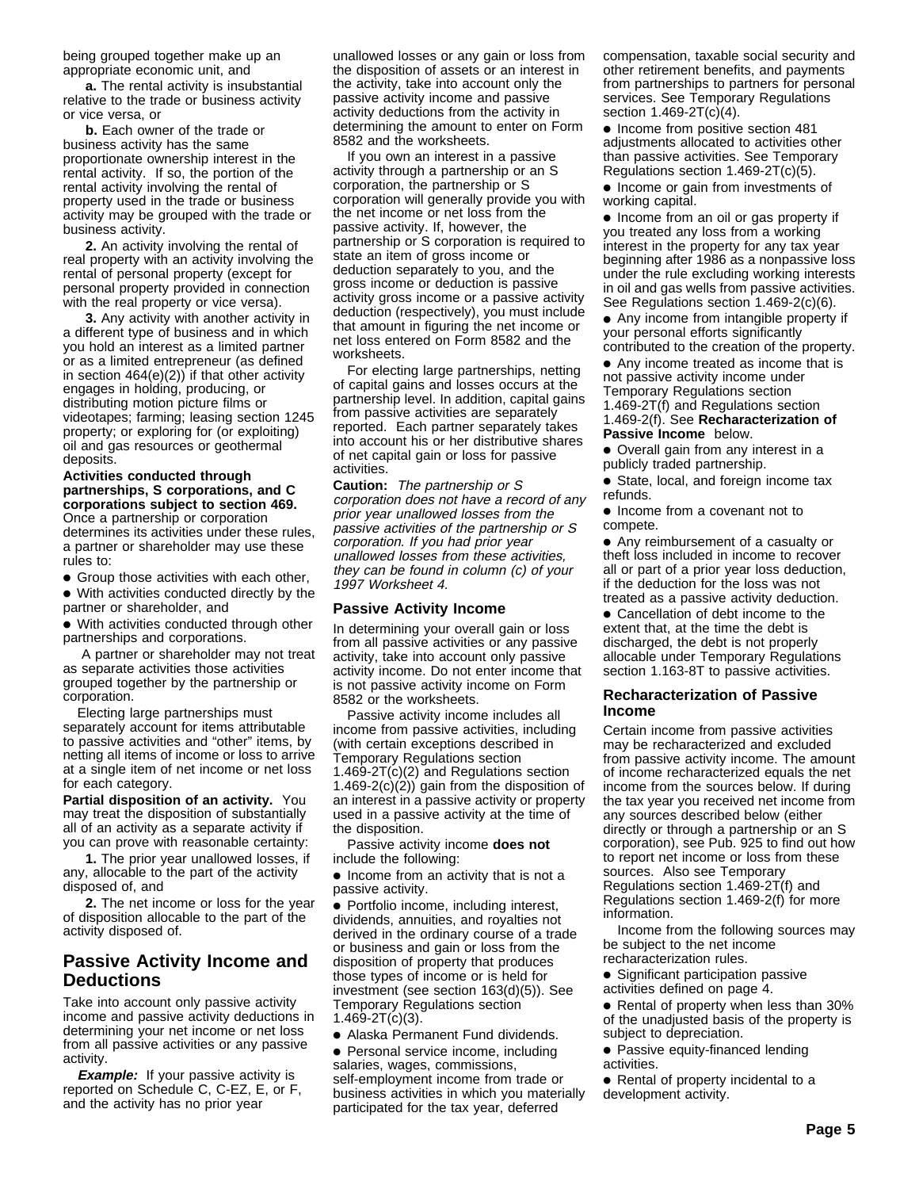being grouped together make up an appropriate economic unit, and

**a.** The rental activity is insubstantial relative to the trade or business activity or vice versa, or

**b.** Each owner of the trade or business activity has the same proportionate ownership interest in the rental activity. If so, the portion of the rental activity involving the rental of property used in the trade or business activity may be grouped with the trade or business activity.

**2.** An activity involving the rental of real property with an activity involving the rental of personal property (except for personal property provided in connection with the real property or vice versa).

**3.** Any activity with another activity in a different type of business and in which you hold an interest as a limited partner or as a limited entrepreneur (as defined in section 464(e)(2)) if that other activity engages in holding, producing, or distributing motion picture films or videotapes; farming; leasing section 1245 property; or exploring for (or exploiting) oil and gas resources or geothermal deposits.

#### **Activities conducted through partnerships, S corporations, and C corporations subject to section 469.**

Once a partnership or corporation determines its activities under these rules, a partner or shareholder may use these rules to:

● Group those activities with each other, ● With activities conducted directly by the partner or shareholder, and

● With activities conducted through other partnerships and corporations.

 A partner or shareholder may not treat as separate activities those activities grouped together by the partnership or corporation.

Electing large partnerships must separately account for items attributable to passive activities and "other" items, by netting all items of income or loss to arrive at a single item of net income or net loss for each category.

**Partial disposition of an activity.** You may treat the disposition of substantially all of an activity as a separate activity if you can prove with reasonable certainty:

**1.** The prior year unallowed losses, if any, allocable to the part of the activity disposed of, and

**2.** The net income or loss for the year of disposition allocable to the part of the activity disposed of.

# **Passive Activity Income and Deductions**

Take into account only passive activity income and passive activity deductions in determining your net income or net loss from all passive activities or any passive activity.

**Example:** If your passive activity is reported on Schedule C, C-EZ, E, or F, and the activity has no prior year

unallowed losses or any gain or loss from the disposition of assets or an interest in the activity, take into account only the passive activity income and passive activity deductions from the activity in determining the amount to enter on Form 8582 and the worksheets.

If you own an interest in a passive activity through a partnership or an S corporation, the partnership or S corporation will generally provide you with the net income or net loss from the passive activity. If, however, the partnership or S corporation is required to state an item of gross income or deduction separately to you, and the gross income or deduction is passive activity gross income or a passive activity deduction (respectively), you must include that amount in figuring the net income or net loss entered on Form 8582 and the worksheets.

For electing large partnerships, netting of capital gains and losses occurs at the partnership level. In addition, capital gains from passive activities are separately reported. Each partner separately takes into account his or her distributive shares of net capital gain or loss for passive activities.

**Caution:** The partnership or S corporation does not have a record of any prior year unallowed losses from the passive activities of the partnership or S corporation. If you had prior year unallowed losses from these activities, they can be found in column (c) of your 1997 Worksheet 4.

#### **Passive Activity Income**

In determining your overall gain or loss from all passive activities or any passive activity, take into account only passive activity income. Do not enter income that is not passive activity income on Form 8582 or the worksheets.

Passive activity income includes all income from passive activities, including (with certain exceptions described in Temporary Regulations section 1.469-2T(c)(2) and Regulations section 1.469-2(c)(2)) gain from the disposition of an interest in a passive activity or property used in a passive activity at the time of the disposition.

Passive activity income **does not** include the following:

● Income from an activity that is not a passive activity.

● Portfolio income, including interest, dividends, annuities, and royalties not derived in the ordinary course of a trade or business and gain or loss from the disposition of property that produces those types of income or is held for investment (see section 163(d)(5)). See Temporary Regulations section 1.469-2T(c)(3).

● Alaska Permanent Fund dividends.

● Personal service income, including salaries, wages, commissions, self-employment income from trade or business activities in which you materially participated for the tax year, deferred

compensation, taxable social security and other retirement benefits, and payments from partnerships to partners for personal services. See Temporary Regulations section 1.469-2T(c)(4).

● Income from positive section 481 adjustments allocated to activities other than passive activities. See Temporary Regulations section 1.469-2T(c)(5).

● Income or gain from investments of working capital.

● Income from an oil or gas property if you treated any loss from a working interest in the property for any tax year beginning after 1986 as a nonpassive loss under the rule excluding working interests in oil and gas wells from passive activities. See Regulations section 1.469-2(c)(6).

● Any income from intangible property if your personal efforts significantly contributed to the creation of the property.

Any income treated as income that is not passive activity income under Temporary Regulations section

1.469-2T(f) and Regulations section 1.469-2(f). See **Recharacterization of Passive Income** below.

● Overall gain from any interest in a publicly traded partnership.

● State, local, and foreign income tax refunds.

● Income from a covenant not to compete.

● Any reimbursement of a casualty or theft loss included in income to recover all or part of a prior year loss deduction, if the deduction for the loss was not treated as a passive activity deduction.

● Cancellation of debt income to the extent that, at the time the debt is discharged, the debt is not properly allocable under Temporary Regulations section 1.163-8T to passive activities.

#### **Recharacterization of Passive Income**

Certain income from passive activities may be recharacterized and excluded from passive activity income. The amount of income recharacterized equals the net income from the sources below. If during the tax year you received net income from any sources described below (either directly or through a partnership or an S corporation), see Pub. 925 to find out how to report net income or loss from these sources. Also see Temporary Regulations section 1.469-2T(f) and Regulations section 1.469-2(f) for more information.

Income from the following sources may be subject to the net income recharacterization rules.

● Significant participation passive

activities defined on page 4.

● Rental of property when less than 30% of the unadjusted basis of the property is subject to depreciation.

● Passive equity-financed lending activities.

● Rental of property incidental to a development activity.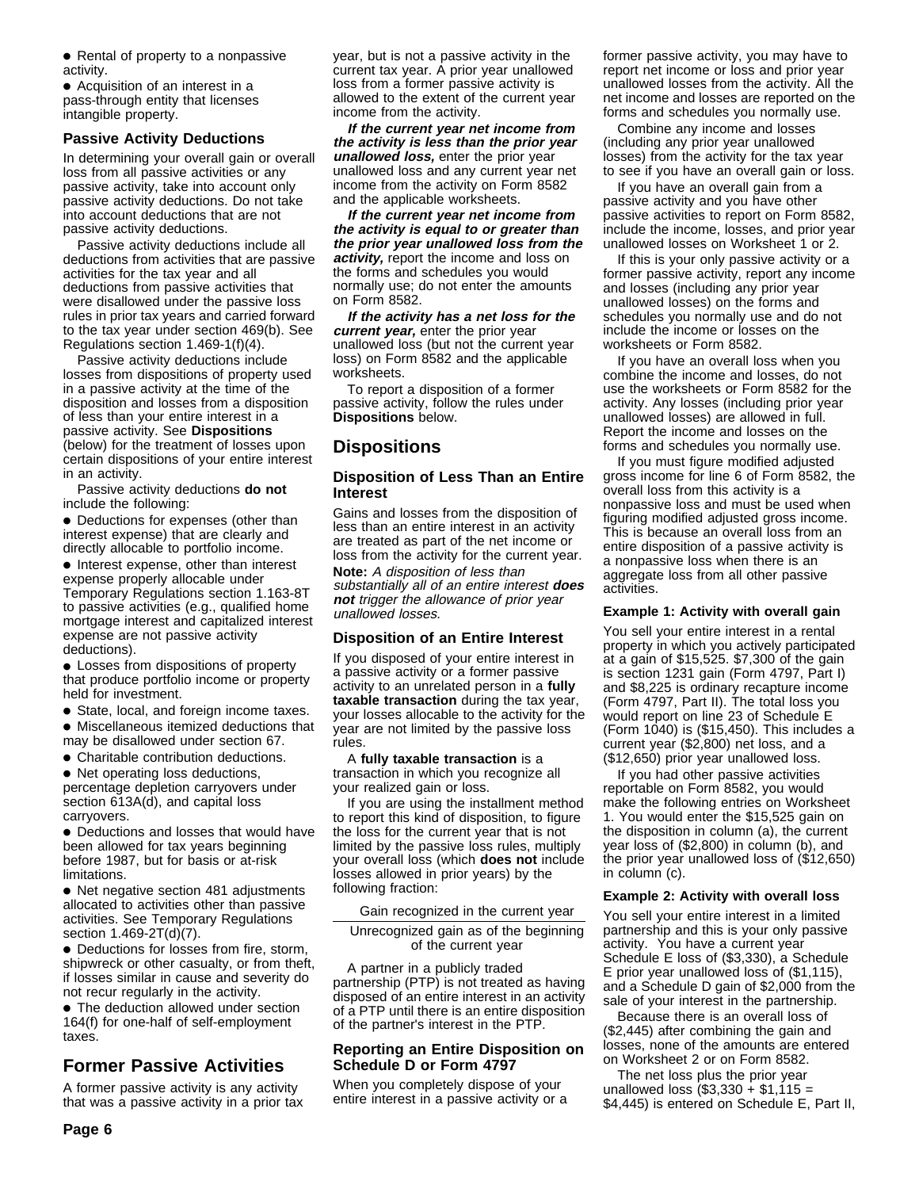● Rental of property to a nonpassive activity.

● Acquisition of an interest in a pass-through entity that licenses intangible property.

## **Passive Activity Deductions**

In determining your overall gain or overall loss from all passive activities or any passive activity, take into account only passive activity deductions. Do not take into account deductions that are not passive activity deductions.

Passive activity deductions include all deductions from activities that are passive activities for the tax year and all deductions from passive activities that were disallowed under the passive loss rules in prior tax years and carried forward to the tax year under section 469(b). See Regulations section 1.469-1(f)(4).

Passive activity deductions include losses from dispositions of property used in a passive activity at the time of the disposition and losses from a disposition of less than your entire interest in a passive activity. See **Dispositions** (below) for the treatment of losses upon certain dispositions of your entire interest in an activity.

Passive activity deductions **do not** include the following:

● Deductions for expenses (other than interest expense) that are clearly and directly allocable to portfolio income.

● Interest expense, other than interest expense properly allocable under Temporary Regulations section 1.163-8T to passive activities (e.g., qualified home mortgage interest and capitalized interest expense are not passive activity deductions).

● Losses from dispositions of property that produce portfolio income or property held for investment.

● State, local, and foreign income taxes.

● Miscellaneous itemized deductions that may be disallowed under section 67.

● Charitable contribution deductions.

• Net operating loss deductions, percentage depletion carryovers under section 613A(d), and capital loss carryovers.

● Deductions and losses that would have been allowed for tax years beginning before 1987, but for basis or at-risk limitations.

● Net negative section 481 adjustments allocated to activities other than passive activities. See Temporary Regulations section 1.469-2T(d)(7).

● Deductions for losses from fire, storm, shipwreck or other casualty, or from theft, if losses similar in cause and severity do not recur regularly in the activity.

● The deduction allowed under section 164(f) for one-half of self-employment taxes.

# **Former Passive Activities**

A former passive activity is any activity that was a passive activity in a prior tax year, but is not a passive activity in the current tax year. A prior year unallowed loss from a former passive activity is allowed to the extent of the current year income from the activity.

**If the current year net income from the activity is less than the prior year unallowed loss,** enter the prior year unallowed loss and any current year net income from the activity on Form 8582 and the applicable worksheets.

**If the current year net income from the activity is equal to or greater than the prior year unallowed loss from the activity,** report the income and loss on the forms and schedules you would normally use; do not enter the amounts on Form 8582.

**If the activity has a net loss for the current year,** enter the prior year unallowed loss (but not the current year loss) on Form 8582 and the applicable worksheets.

To report a disposition of a former passive activity, follow the rules under **Dispositions** below.

# **Dispositions**

#### **Disposition of Less Than an Entire Interest**

Gains and losses from the disposition of less than an entire interest in an activity are treated as part of the net income or loss from the activity for the current year.

**Note:** A disposition of less than substantially all of an entire interest **does not** trigger the allowance of prior year unallowed losses.

#### **Disposition of an Entire Interest**

If you disposed of your entire interest in a passive activity or a former passive activity to an unrelated person in a **fully taxable transaction** during the tax year, your losses allocable to the activity for the year are not limited by the passive loss rules.

A **fully taxable transaction** is a transaction in which you recognize all your realized gain or loss.

If you are using the installment method to report this kind of disposition, to figure the loss for the current year that is not limited by the passive loss rules, multiply your overall loss (which **does not** include losses allowed in prior years) by the following fraction:

Gain recognized in the current year

Unrecognized gain as of the beginning of the current year

A partner in a publicly traded partnership (PTP) is not treated as having disposed of an entire interest in an activity of a PTP until there is an entire disposition of the partner's interest in the PTP.

### **Reporting an Entire Disposition on Schedule D or Form 4797**

When you completely dispose of your entire interest in a passive activity or a former passive activity, you may have to report net income or loss and prior year unallowed losses from the activity. All the net income and losses are reported on the forms and schedules you normally use.

Combine any income and losses (including any prior year unallowed losses) from the activity for the tax year to see if you have an overall gain or loss.

If you have an overall gain from a passive activity and you have other passive activities to report on Form 8582, include the income, losses, and prior year unallowed losses on Worksheet 1 or 2.

If this is your only passive activity or a former passive activity, report any income and losses (including any prior year unallowed losses) on the forms and schedules you normally use and do not include the income or losses on the worksheets or Form 8582.

If you have an overall loss when you combine the income and losses, do not use the worksheets or Form 8582 for the activity. Any losses (including prior year unallowed losses) are allowed in full. Report the income and losses on the forms and schedules you normally use.

If you must figure modified adjusted gross income for line 6 of Form 8582, the overall loss from this activity is a nonpassive loss and must be used when figuring modified adjusted gross income. This is because an overall loss from an entire disposition of a passive activity is a nonpassive loss when there is an aggregate loss from all other passive activities.

#### **Example 1: Activity with overall gain**

You sell your entire interest in a rental property in which you actively participated at a gain of \$15,525. \$7,300 of the gain is section 1231 gain (Form 4797, Part I) and \$8,225 is ordinary recapture income (Form 4797, Part II). The total loss you would report on line 23 of Schedule E (Form 1040) is (\$15,450). This includes a current year (\$2,800) net loss, and a (\$12,650) prior year unallowed loss.

If you had other passive activities reportable on Form 8582, you would make the following entries on Worksheet 1. You would enter the \$15,525 gain on the disposition in column (a), the current year loss of (\$2,800) in column (b), and the prior year unallowed loss of (\$12,650) in column (c).

#### **Example 2: Activity with overall loss**

You sell your entire interest in a limited partnership and this is your only passive activity. You have a current year Schedule E loss of (\$3,330), a Schedule E prior year unallowed loss of (\$1,115), and a Schedule D gain of \$2,000 from the sale of your interest in the partnership.

Because there is an overall loss of (\$2,445) after combining the gain and losses, none of the amounts are entered on Worksheet 2 or on Form 8582.

The net loss plus the prior year unallowed loss  $(\$3,330 + \$1,115 =$ \$4,445) is entered on Schedule E, Part II,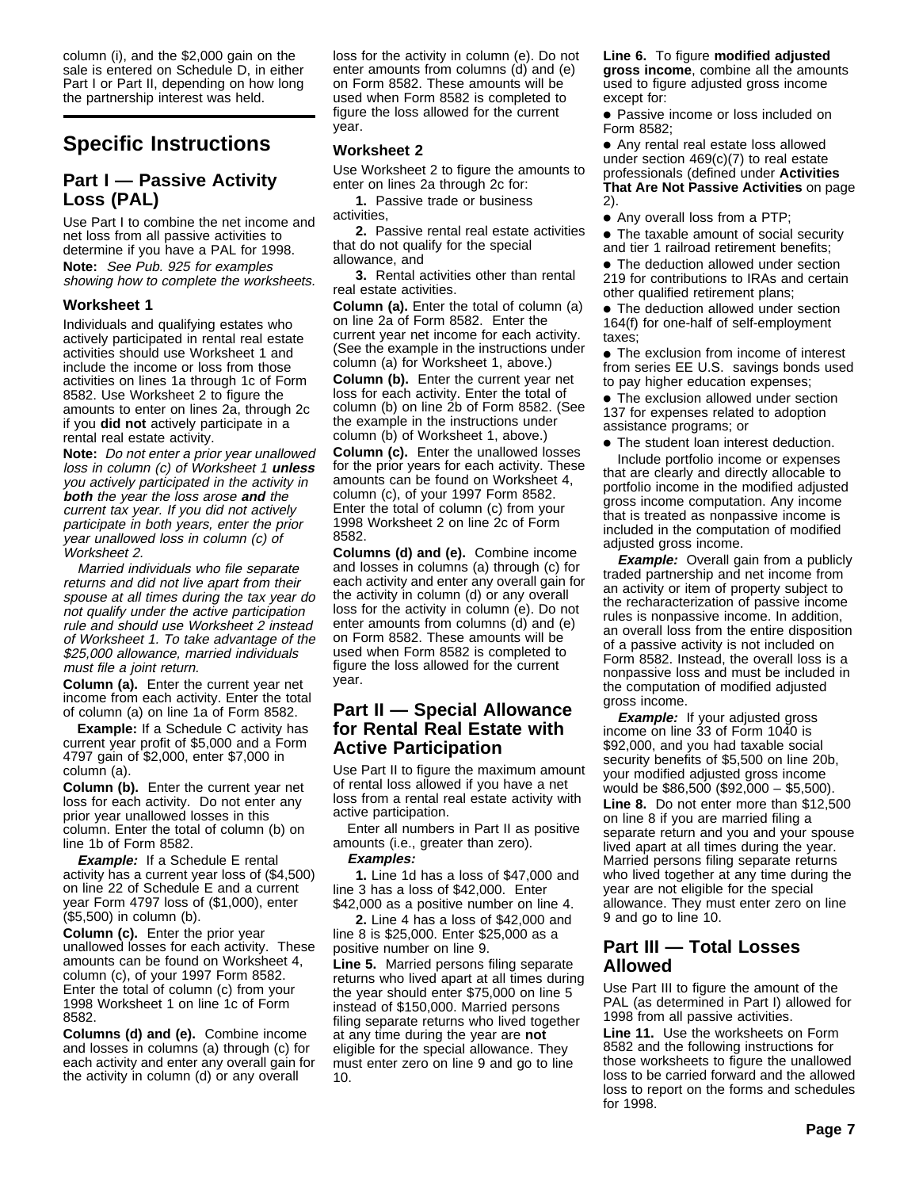column (i), and the \$2,000 gain on the sale is entered on Schedule D, in either Part I or Part II, depending on how long the partnership interest was held.

# **Specific Instructions**

# **Part I — Passive Activity Loss (PAL)**

Use Part I to combine the net income and net loss from all passive activities to determine if you have a PAL for 1998. **Note:** See Pub. 925 for examples showing how to complete the worksheets.

### **Worksheet 1**

Individuals and qualifying estates who actively participated in rental real estate activities should use Worksheet 1 and include the income or loss from those activities on lines 1a through 1c of Form 8582. Use Worksheet 2 to figure the amounts to enter on lines 2a, through 2c if you **did not** actively participate in a rental real estate activity.

**Note:** Do not enter a prior year unallowed loss in column (c) of Worksheet 1 **unless** you actively participated in the activity in **both** the year the loss arose **and** the current tax year. If you did not actively participate in both years, enter the prior year unallowed loss in column (c) of Worksheet 2.

Married individuals who file separate returns and did not live apart from their spouse at all times during the tax year do not qualify under the active participation rule and should use Worksheet 2 instead of Worksheet 1. To take advantage of the \$25,000 allowance, married individuals must file a joint return.

**Column (a).** Enter the current year net income from each activity. Enter the total of column (a) on line 1a of Form 8582.

**Example:** If a Schedule C activity has current year profit of \$5,000 and a Form 4797 gain of \$2,000, enter \$7,000 in column (a).

**Column (b).** Enter the current year net loss for each activity. Do not enter any prior year unallowed losses in this column. Enter the total of column (b) on line 1b of Form 8582.

**Example:** If a Schedule E rental activity has a current year loss of (\$4,500) on line 22 of Schedule E and a current year Form 4797 loss of (\$1,000), enter (\$5,500) in column (b).

**Column (c).** Enter the prior year unallowed losses for each activity. These amounts can be found on Worksheet 4, column (c), of your 1997 Form 8582. Enter the total of column (c) from your 1998 Worksheet 1 on line 1c of Form 8582.

**Columns (d) and (e).** Combine income and losses in columns (a) through (c) for each activity and enter any overall gain for the activity in column (d) or any overall

loss for the activity in column (e). Do not enter amounts from columns (d) and (e) on Form 8582. These amounts will be used when Form 8582 is completed to figure the loss allowed for the current year.

## **Worksheet 2**

Use Worksheet 2 to figure the amounts to enter on lines 2a through 2c for:

**1.** Passive trade or business activities,

**2.** Passive rental real estate activities that do not qualify for the special allowance, and

**3.** Rental activities other than rental real estate activities.

**Column (a).** Enter the total of column (a) on line 2a of Form 8582. Enter the current year net income for each activity. (See the example in the instructions under column (a) for Worksheet 1, above.)

**Column (b).** Enter the current year net loss for each activity. Enter the total of column (b) on line 2b of Form 8582. (See the example in the instructions under column (b) of Worksheet 1, above.)

**Column (c).** Enter the unallowed losses for the prior years for each activity. These amounts can be found on Worksheet 4, column (c), of your 1997 Form 8582. Enter the total of column (c) from your 1998 Worksheet 2 on line 2c of Form 8582.

**Columns (d) and (e).** Combine income and losses in columns (a) through (c) for each activity and enter any overall gain for the activity in column (d) or any overall loss for the activity in column (e). Do not enter amounts from columns (d) and (e) on Form 8582. These amounts will be used when Form 8582 is completed to figure the loss allowed for the current year.

# **Part II — Special Allowance for Rental Real Estate with Active Participation**

Use Part II to figure the maximum amount of rental loss allowed if you have a net loss from a rental real estate activity with active participation.

Enter all numbers in Part II as positive amounts (i.e., greater than zero). **Examples:**

**1.** Line 1d has a loss of \$47,000 and line 3 has a loss of \$42,000. Enter \$42,000 as a positive number on line 4.

**2.** Line 4 has a loss of \$42,000 and line 8 is \$25,000. Enter \$25,000 as a positive number on line 9.

**Line 5.** Married persons filing separate returns who lived apart at all times during the year should enter \$75,000 on line 5 instead of \$150,000. Married persons filing separate returns who lived together at any time during the year are **not** eligible for the special allowance. They must enter zero on line 9 and go to line 10.

**Line 6.** To figure **modified adjusted gross income**, combine all the amounts used to figure adjusted gross income except for:

● Passive income or loss included on Form 8582;

● Any rental real estate loss allowed under section 469(c)(7) to real estate professionals (defined under **Activities That Are Not Passive Activities** on page 2).

● Any overall loss from a PTP;

● The taxable amount of social security and tier 1 railroad retirement benefits;

● The deduction allowed under section 219 for contributions to IRAs and certain other qualified retirement plans;

• The deduction allowed under section 164(f) for one-half of self-employment taxes;

● The exclusion from income of interest from series EE U.S. savings bonds used to pay higher education expenses;

● The exclusion allowed under section 137 for expenses related to adoption assistance programs; or

● The student loan interest deduction.

Include portfolio income or expenses that are clearly and directly allocable to portfolio income in the modified adjusted gross income computation. Any income that is treated as nonpassive income is included in the computation of modified adjusted gross income.

**Example:** Overall gain from a publicly traded partnership and net income from an activity or item of property subject to the recharacterization of passive income rules is nonpassive income. In addition, an overall loss from the entire disposition of a passive activity is not included on Form 8582. Instead, the overall loss is a nonpassive loss and must be included in the computation of modified adjusted gross income.

**Example:** If your adjusted gross income on line 33 of Form 1040 is \$92,000, and you had taxable social security benefits of \$5,500 on line 20b, your modified adjusted gross income would be \$86,500 (\$92,000 – \$5,500).

**Line 8.** Do not enter more than \$12,500 on line 8 if you are married filing a separate return and you and your spouse lived apart at all times during the year. Married persons filing separate returns who lived together at any time during the year are not eligible for the special allowance. They must enter zero on line 9 and go to line 10.

# **Part III — Total Losses Allowed**

Use Part III to figure the amount of the PAL (as determined in Part I) allowed for 1998 from all passive activities.

**Line 11.** Use the worksheets on Form 8582 and the following instructions for those worksheets to figure the unallowed loss to be carried forward and the allowed loss to report on the forms and schedules for 1998.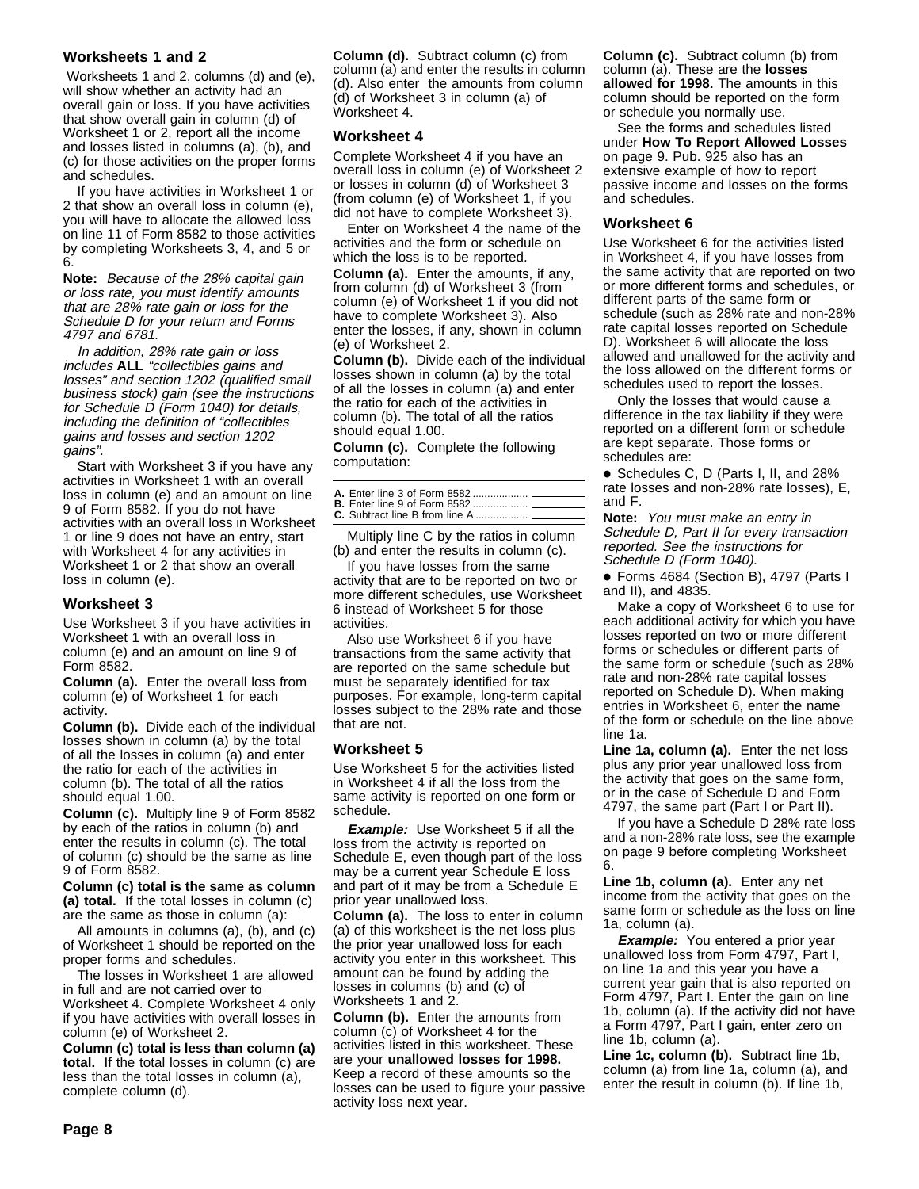# **Worksheets 1 and 2**

 Worksheets 1 and 2, columns (d) and (e), will show whether an activity had an overall gain or loss. If you have activities that show overall gain in column (d) of Worksheet 1 or 2, report all the income and losses listed in columns (a), (b), and (c) for those activities on the proper forms and schedules.

If you have activities in Worksheet 1 or 2 that show an overall loss in column (e), you will have to allocate the allowed loss on line 11 of Form 8582 to those activities by completing Worksheets 3, 4, and 5 or 6.

**Note:** Because of the 28% capital gain or loss rate, you must identify amounts that are 28% rate gain or loss for the Schedule D for your return and Forms 4797 and 6781.

In addition, 28% rate gain or loss includes **ALL** "collectibles gains and losses" and section 1202 (qualified small business stock) gain (see the instructions for Schedule D (Form 1040) for details, including the definition of "collectibles gains and losses and section 1202 gains".

Start with Worksheet 3 if you have any activities in Worksheet 1 with an overall loss in column (e) and an amount on line 9 of Form 8582. If you do not have activities with an overall loss in Worksheet 1 or line 9 does not have an entry, start with Worksheet 4 for any activities in Worksheet 1 or 2 that show an overall loss in column (e).

#### **Worksheet 3**

Use Worksheet 3 if you have activities in Worksheet 1 with an overall loss in column (e) and an amount on line 9 of Form 8582.

**Column (a).** Enter the overall loss from column (e) of Worksheet 1 for each activity.

**Column (b).** Divide each of the individual losses shown in column (a) by the total of all the losses in column (a) and enter the ratio for each of the activities in column (b). The total of all the ratios should equal 1.00.

**Column (c).** Multiply line 9 of Form 8582 by each of the ratios in column (b) and enter the results in column (c). The total of column (c) should be the same as line 9 of Form 8582.

**Column (c) total is the same as column (a) total.** If the total losses in column (c) are the same as those in column (a):

All amounts in columns (a), (b), and (c) of Worksheet 1 should be reported on the proper forms and schedules.

The losses in Worksheet 1 are allowed in full and are not carried over to Worksheet 4. Complete Worksheet 4 only if you have activities with overall losses in column (e) of Worksheet 2.

**Column (c) total is less than column (a) total.** If the total losses in column (c) are less than the total losses in column (a), complete column (d).

**Column (d).** Subtract column (c) from column (a) and enter the results in column (d). Also enter the amounts from column (d) of Worksheet 3 in column (a) of Worksheet 4.

#### **Worksheet 4**

Complete Worksheet 4 if you have an overall loss in column (e) of Worksheet 2 or losses in column (d) of Worksheet 3 (from column (e) of Worksheet 1, if you did not have to complete Worksheet 3).

Enter on Worksheet 4 the name of the activities and the form or schedule on which the loss is to be reported. **Column (a).** Enter the amounts, if any, from column (d) of Worksheet 3 (from column (e) of Worksheet 1 if you did not have to complete Worksheet 3). Also enter the losses, if any, shown in column (e) of Worksheet 2.

**Column (b).** Divide each of the individual losses shown in column (a) by the total of all the losses in column (a) and enter the ratio for each of the activities in column (b). The total of all the ratios should equal 1.00.

**Column (c).** Complete the following computation:

Multiply line C by the ratios in column (b) and enter the results in column (c).

If you have losses from the same activity that are to be reported on two or more different schedules, use Worksheet 6 instead of Worksheet 5 for those activities.

Also use Worksheet 6 if you have transactions from the same activity that are reported on the same schedule but must be separately identified for tax purposes. For example, long-term capital losses subject to the 28% rate and those that are not.

#### **Worksheet 5**

Use Worksheet 5 for the activities listed in Worksheet 4 if all the loss from the same activity is reported on one form or schedule.

**Example:** Use Worksheet 5 if all the loss from the activity is reported on Schedule E, even though part of the loss may be a current year Schedule E loss and part of it may be from a Schedule E prior year unallowed loss.

**Column (a).** The loss to enter in column (a) of this worksheet is the net loss plus the prior year unallowed loss for each activity you enter in this worksheet. This amount can be found by adding the losses in columns (b) and (c) of Worksheets 1 and 2.

**Column (b).** Enter the amounts from column (c) of Worksheet 4 for the activities listed in this worksheet. These are your **unallowed losses for 1998.** Keep a record of these amounts so the losses can be used to figure your passive activity loss next year.

**Column (c).** Subtract column (b) from column (a). These are the **losses allowed for 1998.** The amounts in this column should be reported on the form or schedule you normally use.

See the forms and schedules listed under **How To Report Allowed Losses** on page 9. Pub. 925 also has an extensive example of how to report passive income and losses on the forms and schedules.

#### **Worksheet 6**

Use Worksheet 6 for the activities listed in Worksheet 4, if you have losses from the same activity that are reported on two or more different forms and schedules, or different parts of the same form or schedule (such as 28% rate and non-28% rate capital losses reported on Schedule D). Worksheet 6 will allocate the loss allowed and unallowed for the activity and the loss allowed on the different forms or schedules used to report the losses.

Only the losses that would cause a difference in the tax liability if they were reported on a different form or schedule are kept separate. Those forms or schedules are:

● Schedules C, D (Parts I, II, and 28% rate losses and non-28% rate losses), E, and F.

**Note:** You must make an entry in Schedule D, Part II for every transaction reported. See the instructions for Schedule D (Form 1040).

● Forms 4684 (Section B), 4797 (Parts I and II), and 4835.

Make a copy of Worksheet 6 to use for each additional activity for which you have losses reported on two or more different forms or schedules or different parts of the same form or schedule (such as 28% rate and non-28% rate capital losses reported on Schedule D). When making entries in Worksheet 6, enter the name of the form or schedule on the line above line 1a.

**Line 1a, column (a).** Enter the net loss plus any prior year unallowed loss from the activity that goes on the same form, or in the case of Schedule D and Form 4797, the same part (Part I or Part II).

If you have a Schedule D 28% rate loss and a non-28% rate loss, see the example on page 9 before completing Worksheet 6.

**Line 1b, column (a).** Enter any net income from the activity that goes on the same form or schedule as the loss on line 1a, column (a).

**Example:** You entered a prior year unallowed loss from Form 4797, Part I, on line 1a and this year you have a current year gain that is also reported on Form 4797, Part I. Enter the gain on line 1b, column (a). If the activity did not have a Form 4797, Part I gain, enter zero on line 1b, column (a).

**Line 1c, column (b).** Subtract line 1b, column (a) from line 1a, column (a), and enter the result in column (b). If line 1b,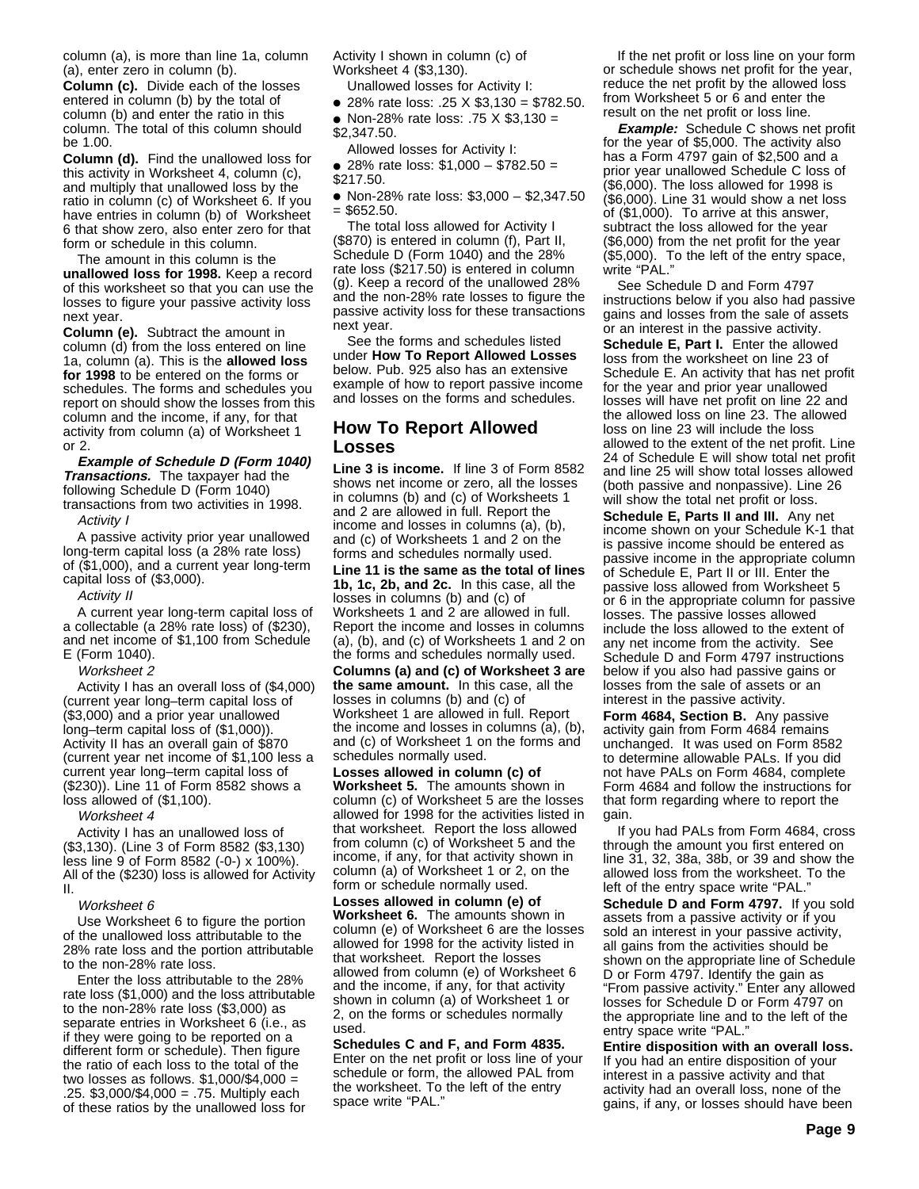column (a), is more than line 1a, column (a), enter zero in column (b).

**Column (c).** Divide each of the losses entered in column (b) by the total of column (b) and enter the ratio in this column. The total of this column should be 1.00.

**Column (d).** Find the unallowed loss for this activity in Worksheet 4, column (c), and multiply that unallowed loss by the ratio in column (c) of Worksheet 6. If you have entries in column (b) of Worksheet 6 that show zero, also enter zero for that form or schedule in this column.

The amount in this column is the **unallowed loss for 1998.** Keep a record of this worksheet so that you can use the losses to figure your passive activity loss next year.

**Column (e).** Subtract the amount in column (d) from the loss entered on line 1a, column (a). This is the **allowed loss for 1998** to be entered on the forms or schedules. The forms and schedules you report on should show the losses from this column and the income, if any, for that activity from column (a) of Worksheet 1 or 2.

**Example of Schedule D (Form 1040) Transactions.** The taxpayer had the following Schedule D (Form 1040) transactions from two activities in 1998.

Activity I

A passive activity prior year unallowed long-term capital loss (a 28% rate loss) of (\$1,000), and a current year long-term capital loss of (\$3,000).

#### Activity II

A current year long-term capital loss of a collectable (a 28% rate loss) of (\$230), and net income of \$1,100 from Schedule E (Form 1040).

Worksheet 2

Activity I has an overall loss of (\$4,000) (current year long–term capital loss of (\$3,000) and a prior year unallowed long–term capital loss of (\$1,000)). Activity II has an overall gain of \$870 (current year net income of \$1,100 less a current year long–term capital loss of (\$230)). Line 11 of Form 8582 shows a loss allowed of (\$1,100).

Worksheet 4

Activity I has an unallowed loss of (\$3,130). (Line 3 of Form 8582 (\$3,130) less line 9 of Form 8582 (-0-) x 100%). All of the (\$230) loss is allowed for Activity II.

#### Worksheet 6

Use Worksheet 6 to figure the portion of the unallowed loss attributable to the 28% rate loss and the portion attributable to the non-28% rate loss.

Enter the loss attributable to the 28% rate loss (\$1,000) and the loss attributable to the non-28% rate loss (\$3,000) as separate entries in Worksheet 6 (i.e., as if they were going to be reported on a different form or schedule). Then figure the ratio of each loss to the total of the two losses as follows. \$1,000/\$4,000 = .25. \$3,000/\$4,000 = .75. Multiply each of these ratios by the unallowed loss for

Activity I shown in column (c) of Worksheet 4 (\$3,130).

Unallowed losses for Activity I:

● 28% rate loss: .25 X \$3,130 = \$782.50.

● Non-28% rate loss: .75 X \$3,130 = \$2,347.50.

Allowed losses for Activity I: ● 28% rate loss: \$1,000 – \$782.50 =

\$217.50.

● Non-28% rate loss: \$3,000 – \$2,347.50  $=$  \$652.50.

The total loss allowed for Activity I (\$870) is entered in column (f), Part II, Schedule D (Form 1040) and the 28% rate loss (\$217.50) is entered in column (g). Keep a record of the unallowed 28% and the non-28% rate losses to figure the passive activity loss for these transactions next year.

See the forms and schedules listed under **How To Report Allowed Losses** below. Pub. 925 also has an extensive example of how to report passive income and losses on the forms and schedules.

# **How To Report Allowed Losses**

**Line 3 is income.** If line 3 of Form 8582 shows net income or zero, all the losses in columns (b) and (c) of Worksheets 1 and 2 are allowed in full. Report the income and losses in columns (a), (b), and (c) of Worksheets 1 and 2 on the forms and schedules normally used.

**Line 11 is the same as the total of lines 1b, 1c, 2b, and 2c.** In this case, all the losses in columns (b) and (c) of Worksheets 1 and 2 are allowed in full. Report the income and losses in columns (a), (b), and (c) of Worksheets 1 and 2 on the forms and schedules normally used.

**Columns (a) and (c) of Worksheet 3 are the same amount.** In this case, all the losses in columns (b) and (c) of Worksheet 1 are allowed in full. Report the income and losses in columns (a), (b), and (c) of Worksheet 1 on the forms and schedules normally used.

**Losses allowed in column (c) of Worksheet 5.** The amounts shown in column (c) of Worksheet 5 are the losses allowed for 1998 for the activities listed in that worksheet. Report the loss allowed from column (c) of Worksheet 5 and the income, if any, for that activity shown in column (a) of Worksheet 1 or 2, on the form or schedule normally used.

**Losses allowed in column (e) of Worksheet 6.** The amounts shown in column (e) of Worksheet 6 are the losses allowed for 1998 for the activity listed in that worksheet. Report the losses allowed from column (e) of Worksheet 6 and the income, if any, for that activity shown in column (a) of Worksheet 1 or 2, on the forms or schedules normally used.

**Schedules C and F, and Form 4835.** Enter on the net profit or loss line of your schedule or form, the allowed PAL from the worksheet. To the left of the entry space write "PAL."

If the net profit or loss line on your form or schedule shows net profit for the year, reduce the net profit by the allowed loss from Worksheet 5 or 6 and enter the result on the net profit or loss line.

**Example:** Schedule C shows net profit for the year of \$5,000. The activity also has a Form 4797 gain of \$2,500 and a prior year unallowed Schedule C loss of (\$6,000). The loss allowed for 1998 is (\$6,000). Line 31 would show a net loss of (\$1,000). To arrive at this answer, subtract the loss allowed for the year (\$6,000) from the net profit for the year (\$5,000). To the left of the entry space, write "PAL."

See Schedule D and Form 4797 instructions below if you also had passive gains and losses from the sale of assets or an interest in the passive activity. **Schedule E, Part I.** Enter the allowed loss from the worksheet on line 23 of Schedule E. An activity that has net profit for the year and prior year unallowed losses will have net profit on line 22 and the allowed loss on line 23. The allowed loss on line 23 will include the loss allowed to the extent of the net profit. Line 24 of Schedule E will show total net profit and line 25 will show total losses allowed (both passive and nonpassive). Line 26 will show the total net profit or loss.

**Schedule E, Parts II and III.** Any net income shown on your Schedule K-1 that is passive income should be entered as passive income in the appropriate column of Schedule E, Part II or III. Enter the passive loss allowed from Worksheet 5 or 6 in the appropriate column for passive losses. The passive losses allowed include the loss allowed to the extent of any net income from the activity. See Schedule D and Form 4797 instructions below if you also had passive gains or losses from the sale of assets or an interest in the passive activity.

**Form 4684, Section B.** Any passive activity gain from Form 4684 remains unchanged. It was used on Form 8582 to determine allowable PALs. If you did not have PALs on Form 4684, complete Form 4684 and follow the instructions for that form regarding where to report the gain.

If you had PALs from Form 4684, cross through the amount you first entered on line 31, 32, 38a, 38b, or 39 and show the allowed loss from the worksheet. To the left of the entry space write "PAL.

**Schedule D and Form 4797.** If you sold assets from a passive activity or if you sold an interest in your passive activity, all gains from the activities should be shown on the appropriate line of Schedule D or Form 4797. Identify the gain as "From passive activity." Enter any allowed losses for Schedule D or Form 4797 on the appropriate line and to the left of the entry space write "PAL."

**Entire disposition with an overall loss.** If you had an entire disposition of your interest in a passive activity and that activity had an overall loss, none of the gains, if any, or losses should have been